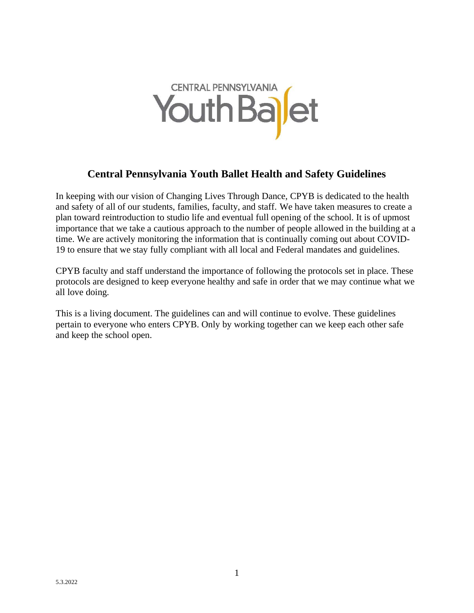

# **Central Pennsylvania Youth Ballet Health and Safety Guidelines**

In keeping with our vision of Changing Lives Through Dance, CPYB is dedicated to the health and safety of all of our students, families, faculty, and staff. We have taken measures to create a plan toward reintroduction to studio life and eventual full opening of the school. It is of upmost importance that we take a cautious approach to the number of people allowed in the building at a time. We are actively monitoring the information that is continually coming out about COVID-19 to ensure that we stay fully compliant with all local and Federal mandates and guidelines.

CPYB faculty and staff understand the importance of following the protocols set in place. These protocols are designed to keep everyone healthy and safe in order that we may continue what we all love doing.

This is a living document. The guidelines can and will continue to evolve. These guidelines pertain to everyone who enters CPYB. Only by working together can we keep each other safe and keep the school open.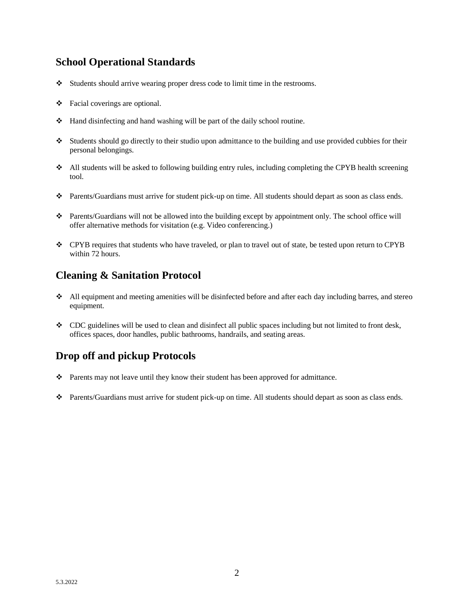### **School Operational Standards**

- ❖ Students should arrive wearing proper dress code to limit time in the restrooms.
- ❖ Facial coverings are optional.
- ❖ Hand disinfecting and hand washing will be part of the daily school routine.
- ❖ Students should go directly to their studio upon admittance to the building and use provided cubbies for their personal belongings.
- ❖ All students will be asked to following building entry rules, including completing the CPYB health screening tool.
- ❖ Parents/Guardians must arrive for student pick-up on time. All students should depart as soon as class ends.
- ❖ Parents/Guardians will not be allowed into the building except by appointment only. The school office will offer alternative methods for visitation (e.g. Video conferencing.)
- ❖ CPYB requires that students who have traveled, or plan to travel out of state, be tested upon return to CPYB within 72 hours.

#### **Cleaning & Sanitation Protocol**

- ❖ All equipment and meeting amenities will be disinfected before and after each day including barres, and stereo equipment.
- ❖ CDC guidelines will be used to clean and disinfect all public spaces including but not limited to front desk, offices spaces, door handles, public bathrooms, handrails, and seating areas.

# **Drop off and pickup Protocols**

- ❖ Parents may not leave until they know their student has been approved for admittance.
- ❖ Parents/Guardians must arrive for student pick-up on time. All students should depart as soon as class ends.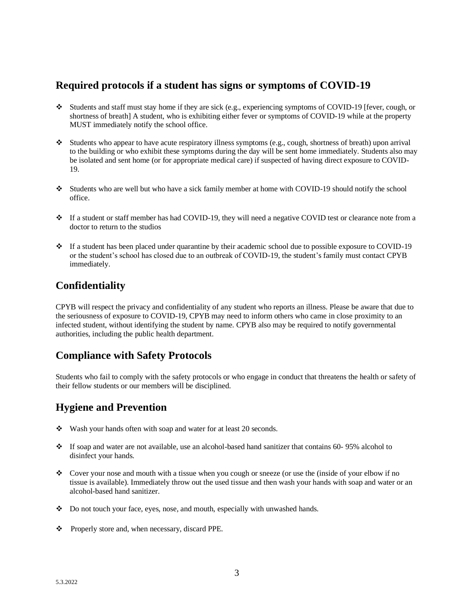#### **Required protocols if a student has signs or symptoms of COVID-19**

- ❖ Students and staff must stay home if they are sick (e.g., experiencing symptoms of COVID-19 [fever, cough, or shortness of breath] A student, who is exhibiting either fever or symptoms of COVID-19 while at the property MUST immediately notify the school office.
- ❖ Students who appear to have acute respiratory illness symptoms (e.g., cough, shortness of breath) upon arrival to the building or who exhibit these symptoms during the day will be sent home immediately. Students also may be isolated and sent home (or for appropriate medical care) if suspected of having direct exposure to COVID-19.
- ❖ Students who are well but who have a sick family member at home with COVID-19 should notify the school office.
- ❖ If a student or staff member has had COVID-19, they will need a negative COVID test or clearance note from a doctor to return to the studios
- ❖ If a student has been placed under quarantine by their academic school due to possible exposure to COVID-19 or the student's school has closed due to an outbreak of COVID-19, the student's family must contact CPYB immediately.

# **Confidentiality**

CPYB will respect the privacy and confidentiality of any student who reports an illness. Please be aware that due to the seriousness of exposure to COVID-19, CPYB may need to inform others who came in close proximity to an infected student, without identifying the student by name. CPYB also may be required to notify governmental authorities, including the public health department.

#### **Compliance with Safety Protocols**

Students who fail to comply with the safety protocols or who engage in conduct that threatens the health or safety of their fellow students or our members will be disciplined.

# **Hygiene and Prevention**

- ❖ Wash your hands often with soap and water for at least 20 seconds.
- ❖ If soap and water are not available, use an alcohol-based hand sanitizer that contains 60- 95% alcohol to disinfect your hands.
- ❖ Cover your nose and mouth with a tissue when you cough or sneeze (or use the (inside of your elbow if no tissue is available). Immediately throw out the used tissue and then wash your hands with soap and water or an alcohol-based hand sanitizer.
- ❖ Do not touch your face, eyes, nose, and mouth, especially with unwashed hands.
- ❖ Properly store and, when necessary, discard PPE.